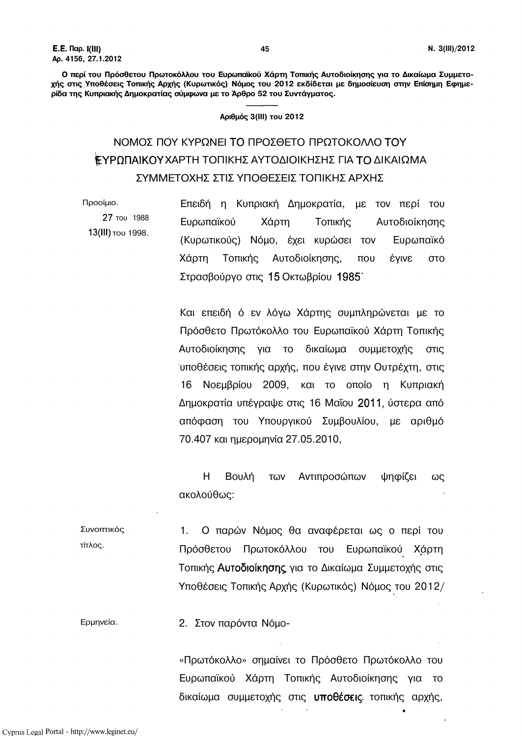**Ο περί του Πρόσθετου Πρωτοκόλλου του Ευρωπαϊκού Χάρτη Τοπικής Αυτοδιοίκησης για το Δικαίωμα Συμμετοχής στις Υποθέσεις Τοπικής Αρχής (Κυρωτικός) Νόμος του 2012 εκδίδεται με δημοσίευση στην Επίσημη Εφημερίδα της Κυπριακής Δημοκρατίας σύμφωνα με το Άρθρο 52 του Συντάγματος.** 

#### **Αριθμός 3(ΙΙΙ) του 2012**

# ΝΟΜΟΣ ΠΟΥ ΚΥΡΩΝΕΙ ΤΟ ΠΡΟΣΘΕΤΟ ΠΡΩΤΟΚΟΛΛΟ ΤΟΥ ΕΥΡΩΠΑΪΚΟΥ ΧΑΡΤΗ ΤΟΠΙΚΗΣ ΑΥΤΟΔΙΟΙΚΗΣΗΣ ΓΙΑ ΤΟ ΔΙΚΑΙΩΜΑ ΣΥΜΜΕΤΟΧΗΣ ΣΤΙΣ ΥΠΟΘΕΣΕΙΣ ΤΟΠΙΚΗΣ ΑΡΧΗΣ

Προοίμιο. 27 του 1988 13(111) του 1998. Επειδή η Κυπριακή Δημοκρατία, με τον περί του Ευρωπαϊκού Χάρτη Τοπικής Αυτοδιοίκησης (Κυρωτικούς) Νόμο, έχει κυρώσει τον Ευρωπαϊκό Χάρτη Τοπικής Αυτοδιοίκησης, που έγινε στο Στρασβούργο στις 15 Οκτωβρίου 1985'

> Και επειδή ό εν λόγω Χάρτης συμπληρώνεται με το Πρόσθετο Πρωτόκολλο του Ευρωπαϊκού Χάρτη Τοπικής Αυτοδιοίκησης για το δικαίωμα συμμετοχής στις υποθέσεις τοπικής αρχής, που έγινε στην Ουτρέχτη, στις 16 Νοεμβρίου 2009, και το οποίο η Κυπριακή Δημοκρατία υπέγραψε στις 16 Μαΐου 2011, ύστερα από απόφαση του Υπουργικού Συμβουλίου, με αριθμό 70.407 και ημερομηνία 27.05.2010,

> Η Βουλή των Αντιπροσώπων ψηφίζει ως ακολούθως:

Συνοπτικός τίτλος. 1. Ο παρών Νόμος θα αναφέρεται ως ο περί του Πρόσθετου Πρωτοκόλλου του Ευρωπαϊκού Χάρτη Τοπικής Αυτοδιοίκησης, για το Δικαίωμα Συμμετοχής στις Υποθέσεις Τοπικής Αρχής (Κυρωτικός) Νόμος του 2012/

Ερμηνεία. 2. Στον παρόντα Νόμο-

«Πρωτόκολλο» σημαίνει το Πρόσθετο Πρωτόκολλο του Ευρωπαϊκού Χάρτη Τοπικής Αυτοδιοίκησης για το δικαίωμα συμμετοχής στις υποθέσεις, τοπικής αρχής,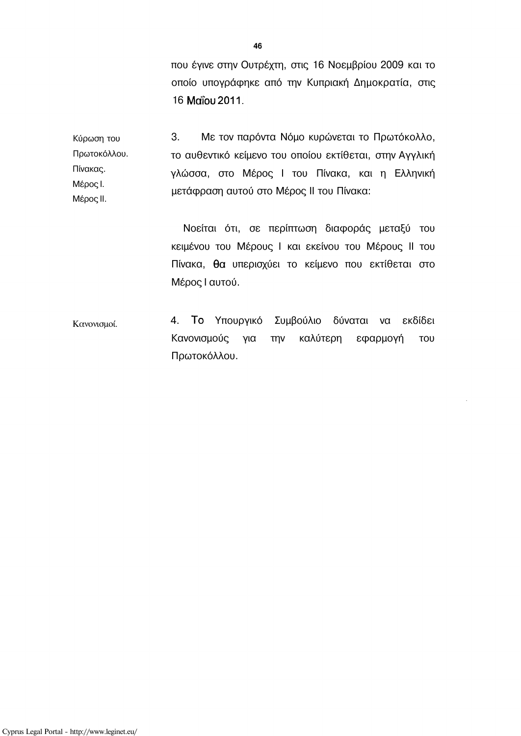που έγινε στην Ουτρέχτη, στις 16 Νοεμβρίου 2009 και το οποίο υπογράφηκε από την Κυπριακή Δημοκρατία, στις 16 Μαΐου 2011.

Κύρωση του Πρωτοκόλλου. Πίνακας. Μέρος Ι. Μέρος II. 3. Με τον παρόντα Νόμο κυρώνεται το Πρωτόκολλο, το αυθεντικό κείμενο του οποίου εκτίθεται, στην Αγγλική γλώσσα, στο Μέρος Ι του Πίνακα, και η Ελληνική μετάφραση αυτού στο Μέρος II του Πίνακα:

> Νοείται ότι, σε περίπτωση διαφοράς μεταξύ του κειμένου του Μέρους Ι και εκείνου του Μέρους II του Πίνακα, θα υπερισχύει το κείμενο που εκτίθεται στο Μέρος Ι αυτού.

Κανονισμοί. 4. Το Υπουργικό Συμβούλιο δύναται να εκδίδει Κανονισμούς για την καλύτερη εφαρμογή του Πρωτοκόλλου.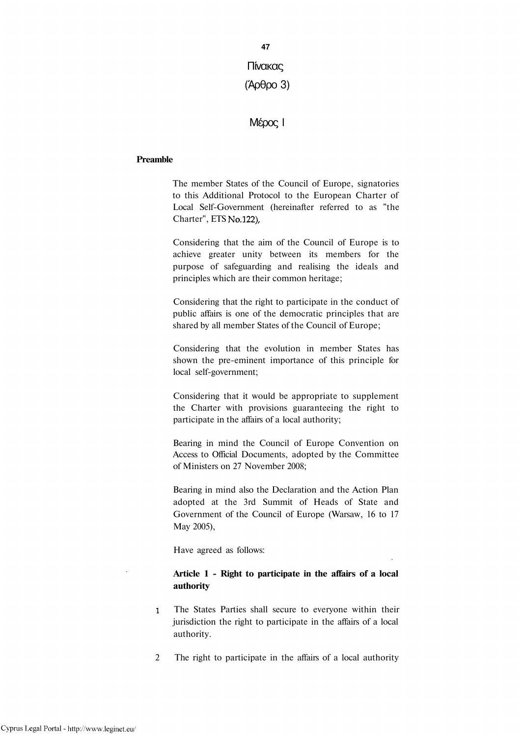**47**  Πίνακας

(Άρθρο 3)

# Μέρος Ι

#### **Preamble**

The member States of the Council of Europe, signatories to this Additional Protocol to the European Charter of Local Self-Government (hereinafter referred to as "the Charter", ETS No.122),

Considering that the aim of the Council of Europe is to achieve greater unity between its members for the purpose of safeguarding and realising the ideals and principles which are their common heritage;

Considering that the right to participate in the conduct of public affairs is one of the democratic principles that are shared by all member States of the Council of Europe;

Considering that the evolution in member States has shown the pre-eminent importance of this principle for local self-government;

Considering that it would be appropriate to supplement the Charter with provisions guaranteeing the right to participate in the affairs of a local authority;

Bearing in mind the Council of Europe Convention on Access to Official Documents, adopted by the Committee of Ministers on 27 November 2008;

Bearing in mind also the Declaration and the Action Plan adopted at the 3rd Summit of Heads of State and Government of the Council of Europe (Warsaw, 16 to 17 May 2005),

Have agreed as follows:

### **Article 1 - Right to participate in the affairs of a local authority**

- ι The States Parties shall secure to everyone within their jurisdiction the right to participate in the affairs of a local authority.
- 2 The right to participate in the affairs of a local authority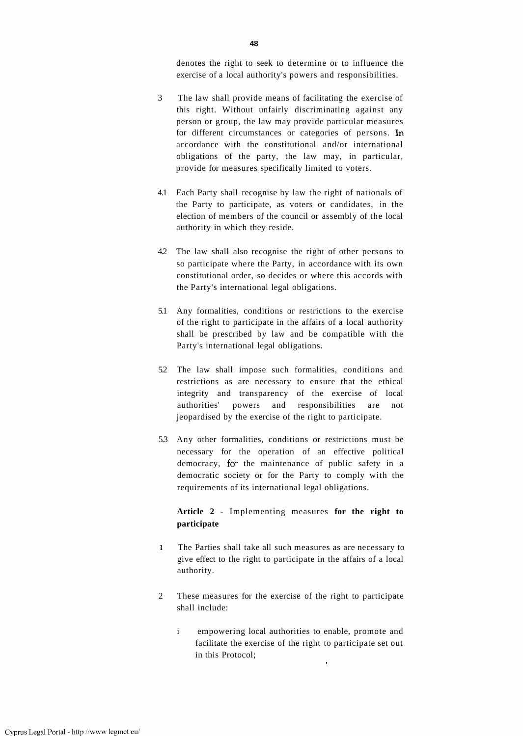denotes the right to seek to determine or to influence the exercise of a local authority's powers and responsibilities.

- 3 The law shall provide means of facilitating the exercise of this right. Without unfairly discriminating against any person or group, the law may provide particular measures for different circumstances or categories of persons. In accordance with the constitutional and/or international obligations of the party, the law may, in particular, provide for measures specifically limited to voters.
- 4.1 Each Party shall recognise by law the right of nationals of the Party to participate, as voters or candidates, in the election of members of the council or assembly of the local authority in which they reside.
- 4.2 The law shall also recognise the right of other persons to so participate where the Party, in accordance with its own constitutional order, so decides or where this accords with the Party's international legal obligations.
- 5.1 Any formalities, conditions or restrictions to the exercise of the right to participate in the affairs of a local authority shall be prescribed by law and be compatible with the Party's international legal obligations.
- 5.2 The law shall impose such formalities, conditions and restrictions as are necessary to ensure that the ethical integrity and transparency of the exercise of local authorities' powers and responsibilities are not jeopardised by the exercise of the right to participate.
- 5.3 Any other formalities, conditions or restrictions must be necessary for the operation of an effective political democracy, for the maintenance of public safety in a democratic society or for the Party to comply with the requirements of its international legal obligations.

#### **Article 2** - Implementing measures **for the right to participate**

- 1 The Parties shall take all such measures as are necessary to give effect to the right to participate in the affairs of a local authority.
- 2 These measures for the exercise of the right to participate shall include:
	- i empowering local authorities to enable, promote and facilitate the exercise of the right to participate set out in this Protocol;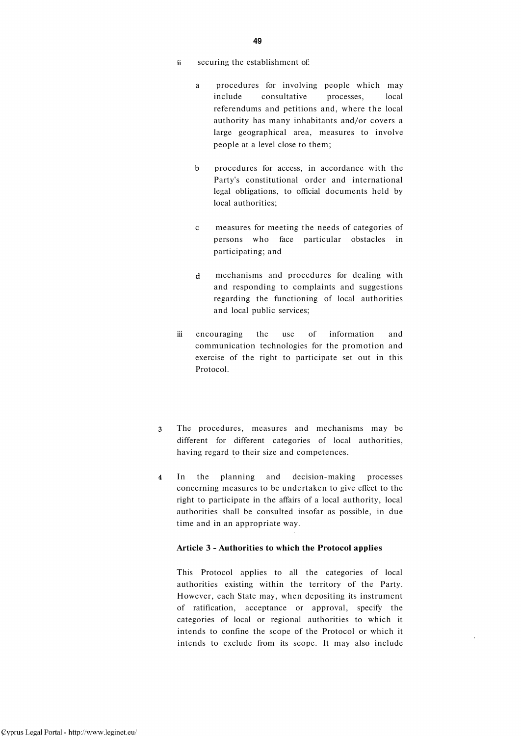- ii securing the establishment of:
	- a procedures for involving people which may include consultative processes, local referendums and petitions and, where the local authority has many inhabitants and/or covers a large geographical area, measures to involve people at a level close to them;
	- b procedures for access, in accordance with the Party's constitutional order and international legal obligations, to official documents held by local authorities;
	- c measures for meeting the needs of categories of persons who face particular obstacles in participating; and
	- d mechanisms and procedures for dealing with and responding to complaints and suggestions regarding the functioning of local authorities and local public services;
- iii encouraging the use of information and communication technologies for the promotion and exercise of the right to participate set out in this Protocol.
- The procedures, measures and mechanisms may be  $\overline{3}$ different for different categories of local authorities, having regard to their size and competences.
- $\boldsymbol{4}$ In the planning and decision-making processes concerning measures to be undertaken to give effect to the right to participate in the affairs of a local authority, local authorities shall be consulted insofar as possible, in due time and in an appropriate way.

#### **Article 3 - Authorities to which the Protocol applies**

This Protocol applies to all the categories of local authorities existing within the territory of the Party. However, each State may, when depositing its instrument of ratification, acceptance or approval, specify the categories of local or regional authorities to which it intends to confine the scope of the Protocol or which it intends to exclude from its scope. It may also include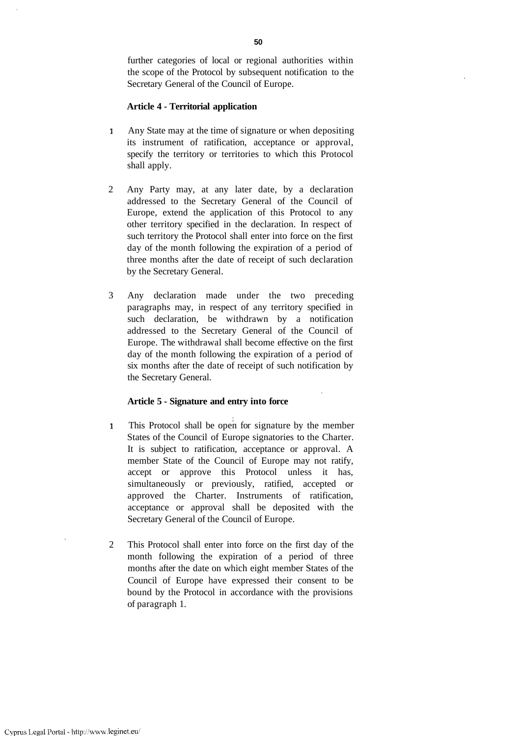further categories of local or regional authorities within the scope of the Protocol by subsequent notification to the Secretary General of the Council of Europe.

#### **Article 4 - Territorial application**

- 1 Any State may at the time of signature or when depositing its instrument of ratification, acceptance or approval, specify the territory or territories to which this Protocol shall apply.
- 2 Any Party may, at any later date, by a declaration addressed to the Secretary General of the Council of Europe, extend the application of this Protocol to any other territory specified in the declaration. In respect of such territory the Protocol shall enter into force on the first day of the month following the expiration of a period of three months after the date of receipt of such declaration by the Secretary General.
- 3 Any declaration made under the two preceding paragraphs may, in respect of any territory specified in such declaration, be withdrawn by a notification addressed to the Secretary General of the Council of Europe. The withdrawal shall become effective on the first day of the month following the expiration of a period of six months after the date of receipt of such notification by the Secretary General.

#### **Article 5 - Signature and entry into force**

- 1 This Protocol shall be open for signature by the member States of the Council of Europe signatories to the Charter. It is subject to ratification, acceptance or approval. A member State of the Council of Europe may not ratify, accept or approve this Protocol unless it has, simultaneously or previously, ratified, accepted or approved the Charter. Instruments of ratification, acceptance or approval shall be deposited with the Secretary General of the Council of Europe.
- 2 This Protocol shall enter into force on the first day of the month following the expiration of a period of three months after the date on which eight member States of the Council of Europe have expressed their consent to be bound by the Protocol in accordance with the provisions of paragraph 1.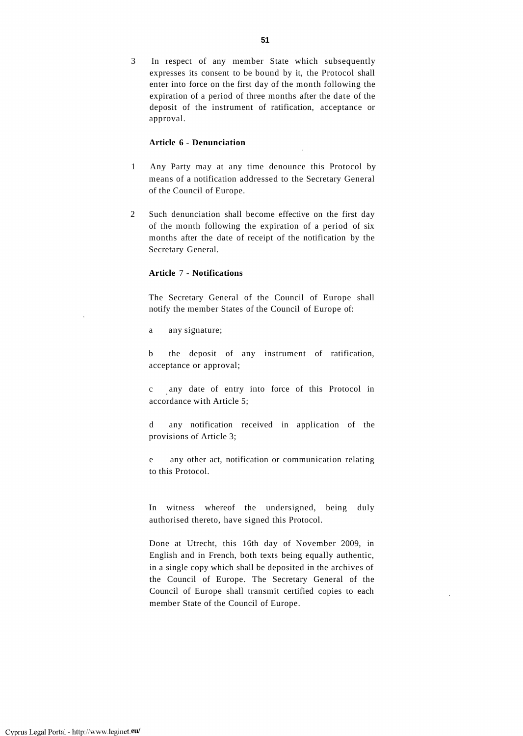3 In respect of any member State which subsequently expresses its consent to be bound by it, the Protocol shall enter into force on the first day of the month following the expiration of a period of three months after the date of the deposit of the instrument of ratification, acceptance or approval.

#### **Article 6 - Denunciation**

- 1 Any Party may at any time denounce this Protocol by means of a notification addressed to the Secretary General of the Council of Europe.
- 2 Such denunciation shall become effective on the first day of the month following the expiration of a period of six months after the date of receipt of the notification by the Secretary General.

#### **Article** 7 - **Notifications**

The Secretary General of the Council of Europe shall notify the member States of the Council of Europe of:

a any signature;

b the deposit of any instrument of ratification, acceptance or approval;

c any date of entry into force of this Protocol in accordance with Article 5;

d any notification received in application of the provisions of Article 3;

e any other act, notification or communication relating to this Protocol.

In witness whereof the undersigned, being duly authorised thereto, have signed this Protocol.

Done at Utrecht, this 16th day of November 2009, in English and in French, both texts being equally authentic, in a single copy which shall be deposited in the archives of the Council of Europe. The Secretary General of the Council of Europe shall transmit certified copies to each member State of the Council of Europe.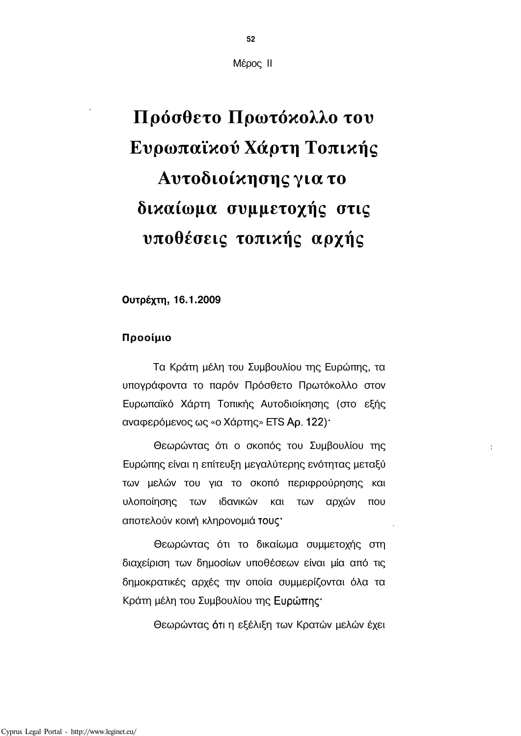Μέρος II

**52** 

# **Πρόσθετο Πρωτόκολλο του Ευρωπαϊκού Χάρτη Τοπικής Αυτοδιοίκησης για το δικαίωμα συμμετοχής στις υποθέσεις τοπικής αρχής**

**Ουτρέχτη, 16.1.2009** 

#### **Προοίμιο**

Τα Κράτη μέλη του Συμβουλίου της Ευρώπης, τα υπογράφοντα το παρόν Πρόσθετο Πρωτόκολλο στον Ευρωπαϊκό Χάρτη Τοπικής Αυτοδιοίκησης (στο εξής αναφερόμενος ως «ο Χάρτης» ETS Αρ. 122)·

Θεωρώντας ότι ο σκοπός του Συμβουλίου της Ευρώπης είναι η επίτευξη μεγαλύτερης ενότητας μεταξύ των μελών του για το σκοπό περιφρούρησης και υλοποίησης των ιδανικών και των αρχών που αποτελούν κοινή κληρονομιά τους"

Θεωρώντας ότι το δικαίωμα συμμετοχής στη διαχείριση των δημοσίων υποθέσεων είναι μία από τις δημοκρατικές αρχές την οποία συμμερίζονται όλα τα Κράτη μέλη του Συμβουλίου της Ευρώπης.

Θεωρώντας ότι η εξέλιξη των Κρατών μελών έχει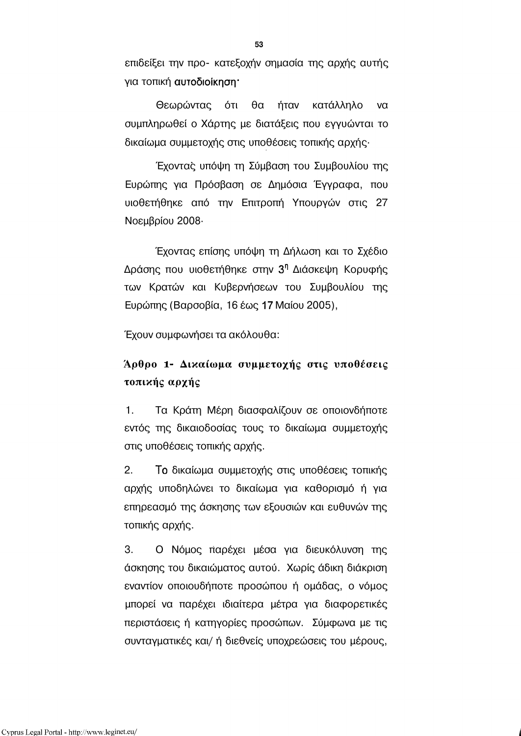επιδείξει την προ- κατεξοχήν σημασία της αρχής αυτής για τοπική αυτοδιοίκηση-

Θεωρώντας ότι θα ήταν κατάλληλο να συμπληρωθεί ο Χάρτης με διατάξεις που εγγυώνται το δικαίωμα συμμετοχής στις υποθέσεις τοπικής αρχής·

Έχοντας υπόψη τη Σύμβαση του Συμβουλίου της Ευρώπης για Πρόσβαση σε Δημόσια Έγγραφα, που υιοθετήθηκε από την Επιτροπή Υπουργών στις 27 Νοεμβρίου 2008·

Έχοντας επίσης υπόψη τη Δήλωση και το Σχέδιο Δράσης που υιοθετήθηκε στην 3<sup>η</sup> Διάσκεψη Κορυφής των Κρατών και Κυβερνήσεων του Συμβουλίου της Ευρώπης (Βαρσοβία, 16 έως 17 Μαίου 2005),

Έχουν συμφωνήσει τα ακόλουθα:

# **Άρθρο ι- Δικαίωμα συμμετοχής στις υποθέσεις τοπικής αρχής**

1. Τα Κράτη Μέρη διασφαλίζουν σε οποιονδήποτε εντός της δικαιοδοσίας τους το δικαίωμα συμμετοχής στις υποθέσεις τοπικής αρχής.

2. Το δικαίωμα συμμετοχής στις υποθέσεις τοπικής αρχής υποδηλώνει το δικαίωμα για καθορισμό ή για επηρεασμό της άσκησης των εξουσιών και ευθυνών της τοπικής αρχής.

3. Ο Νόμος παρέχει μέσα για διευκόλυνση της άσκησης του δικαιώματος αυτού. Χωρίς άδικη διάκριση εναντίον οποιουδήποτε προσώπου ή ομάδας, ο νόμος μπορεί να παρέχει ιδιαίτερα μέτρα για διαφορετικές περιστάσεις ή κατηγορίες προσώπων. Σύμφωνα με τις συνταγματικές και/ ή διεθνείς υποχρεώσεις του μέρους,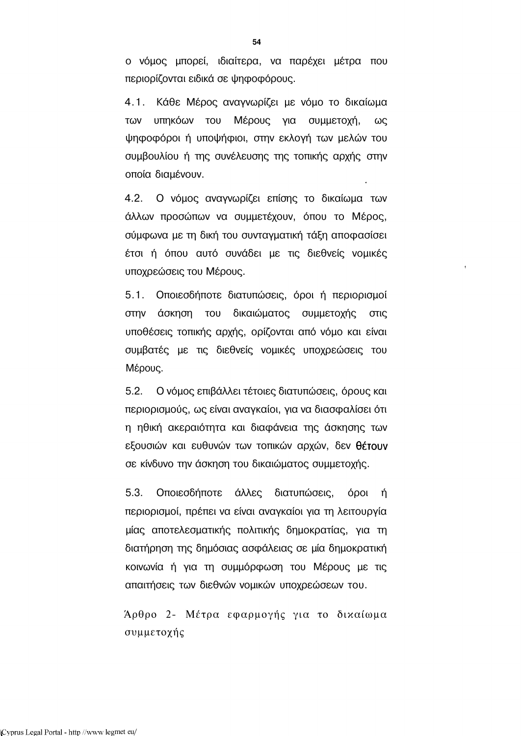ο νόμος μπορεί, ιδιαίτερα, να παρέχει μέτρα που περιορίζονται ειδικά σε ψηφοφόρους.

4.1. Κάθε Μέρος αναγνωρίζει με νόμο το δικαίωμα των υπηκόων του Μέρους για συμμετοχή, ως ψηφοφόροι ή υποψήφιοι, στην εκλογή των μελών του συμβουλίου ή της συνέλευσης της τοπικής αρχής στην οποία διαμένουν.

4.2. Ο νόμος αναγνωρίζει επίσης το δικαίωμα των άλλων προσώπων να συμμετέχουν, όπου το Μέρος, σύμφωνα με τη δική του συνταγματική τάξη αποφασίσει έτσι ή όπου αυτό συνάδει με τις διεθνείς νομικές υποχρεώσεις του Μέρους.

5.1. Οποιεσδήποτε διατυπώσεις, όροι ή περιορισμοί στην άσκηση του δικαιώματος συμμετοχής στις υποθέσεις τοπικής αρχής, ορίζονται από νόμο και είναι συμβατές με τις διεθνείς νομικές υποχρεώσεις του Μέρους.

5.2. Ο νόμος επιβάλλει τέτοιες διατυπώσεις, όρους και περιορισμούς, ως είναι αναγκαίοι, για να διασφαλίσει ότι η ηθική ακεραιότητα και διαφάνεια της άσκησης των εξουσιών και ευθυνών των τοπικών αρχών, δεν θέτουν σε κίνδυνο την άσκηση του δικαιώματος συμμετοχής.

5.3. Οποιεσδήποτε άλλες διατυπώσεις, όροι ή περιορισμοί, πρέπει να είναι αναγκαίοι για τη λειτουργία μίας αποτελεσματικής πολιτικής δημοκρατίας, για τη διατήρηση της δημόσιας ασφάλειας σε μία δημοκρατική κοινωνία ή για τη συμμόρφωση του Μέρους με τις απαιτήσεις των διεθνών νομικών υποχρεώσεων του.

Άρθρο 2- Μέτρα εφαρμογής για το δικαίωμα συμμετοχής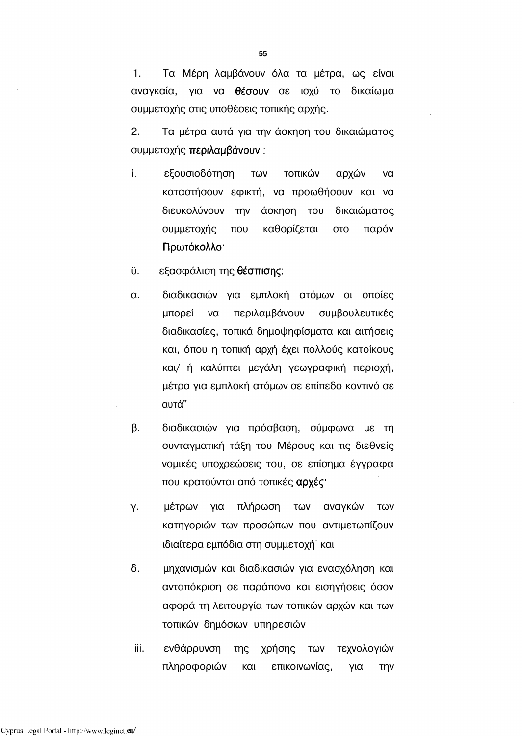1. Τα Μέρη λαμβάνουν όλα τα μέτρα, ως είναι αναγκαία, για να θέσουν σε ισχύ το δικαίωμα συμμετοχής στις υποθέσεις τοπικής αρχής.

2. Τα μέτρα αυτά για την άσκηση του δικαιώματος συμμετοχής περιλαμβάνουν:

- ί. εξουσιοδότηση των τοπικών αρχών να καταστήσουν εφικτή, να προωθήσουν και να διευκολύνουν την άσκηση του δικαιώματος συμμετοχής που καθορίζεται στο παρόν Πρωτόκολλο-
- ϋ. εξασφάλιση της θέσπισης:
- α. διαδικασιών για εμπλοκή ατόμων οι οποίες μπορεί να περιλαμβάνουν συμβουλευτικές διαδικασίες, τοπικά δημοψηφίσματα και αιτήσεις και, όπου η τοπική αρχή έχει πολλούς κατοίκους και/ ή καλύπτει μεγάλη γεωγραφική περιοχή, μέτρα για εμπλοκή ατόμων σε επίπεδο κοντινό σε αυτά"
- β. διαδικασιών για πρόσβαση, σύμφωνα με τη συνταγματική τάξη του Μέρους και τις διεθνείς νομικές υποχρεώσεις του, σε επίσημα έγγραφα που κρατούνται από τοπικές αρχές-
- γ. μέτρων για πλήρωση των αναγκών των κατηγοριών των προσώπων που αντιμετωπίζουν ιδιαίτερα εμπόδια στη συμμετοχή- και
- δ. μηχανισμών και διαδικασιών για ενασχόληση και ανταπόκριση σε παράπονα και εισηγήσεις όσον αφορά τη λειτουργία των τοπικών αρχών και των τοπικών δημόσιων υπηρεσιών
- iii. ενθάρρυνση της χρήσης των τεχνολογιών πληροφοριών και επικοινωνίας, για την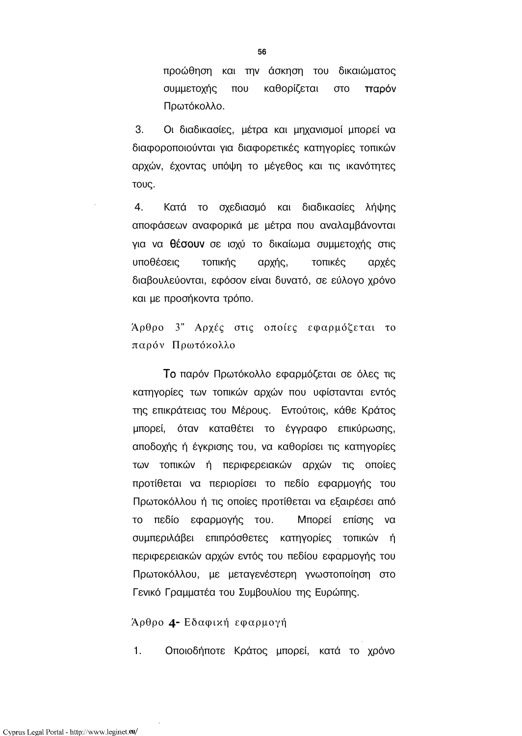προώθηση και την άσκηση του δικαιώματος συμμετοχής που καθορίζεται στο παρόν Πρωτόκολλο.

3. Οι διαδικασίες, μέτρα και μηχανισμοί μπορεί να διαφοροποιούνται για διαφορετικές κατηγορίες τοπικών αρχών, έχοντας υπόψη το μέγεθος και τις ικανότητες τους.

4. Κατά το σχεδιασμό και διαδικασίες λήψης αποφάσεων αναφορικά με μέτρα που αναλαμβάνονται για να θέσουν σε ισχύ το δικαίωμα συμμετοχής στις υποθέσεις τοπικής αρχής, τοπικές αρχές διαβουλεύονται, εφόσον είναι δυνατό, σε εύλογο χρόνο και με προσήκοντα τρόπο.

Άρθρο 3" Αρχές στις οποίες εφαρμόζεται το παρόν Πρωτόκολλο

Το παρόν Πρωτόκολλο εφαρμόζεται σε όλες τις κατηγορίες των τοπικών αρχών που υφίστανται εντός της επικράτειας του Μέρους. Εντούτοις, κάθε Κράτος μπορεί, όταν καταθέτει το έγγραφο επικύρωσης, αποδοχής ή έγκρισης του, να καθορίσει τις κατηγορίες των τοπικών ή περιφερειακών αρχών τις οποίες προτίθεται να περιορίσει το πεδίο εφαρμογής του Πρωτοκόλλου ή τις οποίες προτίθεται να εξαιρέσει από το πεδίο εφαρμογής του. Μπορεί επίσης να συμπεριλάβει επιπρόσθετες κατηγορίες τοπικών ή περιφερειακών αρχών εντός του πεδίου εφαρμογής του Πρωτοκόλλου, με μεταγενέστερη γνωστοποίηση στο Γενικό Γραμματέα του Συμβουλίου της Ευρώπης.

Άρθρο 4- Εδαφική εφαρμογή

1. Οποιοδήποτε Κράτος μπορεί, κατά το χρόνο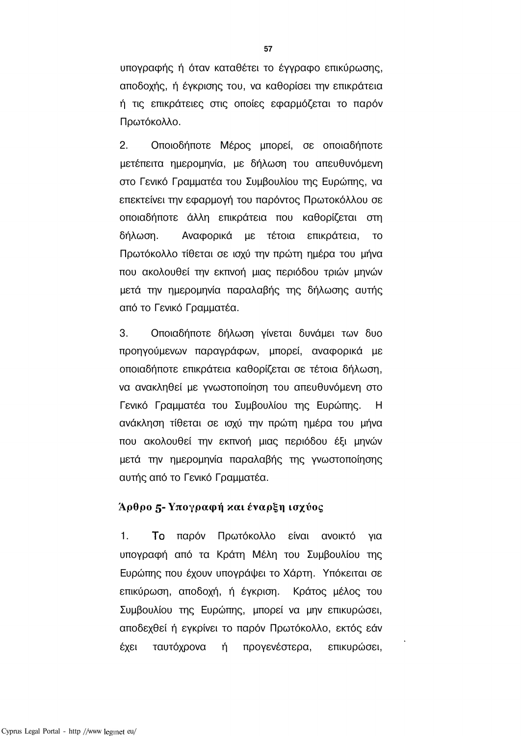υπογραφής ή όταν καταθέτει το έγγραφο επικύρωσης, αποδοχής, ή έγκρισης του, να καθορίσει την επικράτεια ή τις επικράτειες στις οποίες εφαρμόζεται το παρόν Πρωτόκολλο.

2. Οποιοδήποτε Μέρος μπορεί, σε οποιαδήποτε μετέπειτα ημερομηνία, με δήλωση του απευθυνόμενη στο Γενικό Γραμματέα του Συμβουλίου της Ευρώπης, να επεκτείνει την εφαρμογή του παρόντος Πρωτοκόλλου σε οποιαδήποτε άλλη επικράτεια που καθορίζεται στη δήλωση. Αναφορικά με τέτοια επικράτεια, το Πρωτόκολλο τίθεται σε ισχύ την πρώτη ημέρα του μήνα που ακολουθεί την εκπνοή μιας περιόδου τριών μηνών μετά την ημερομηνία παραλαβής της δήλωσης αυτής από το Γενικό Γραμματέα.

3. Οποιαδήποτε δήλωση γίνεται δυνάμει των δυο προηγούμενων παραγράφων, μπορεί, αναφορικά με οποιαδήποτε επικράτεια καθορίζεται σε τέτοια δήλωση, να ανακληθεί με γνωστοποίηση του απευθυνόμενη στο Γενικό Γραμματέα του Συμβουλίου της Ευρώπης. Η ανάκληση τίθεται σε ισχύ την πρώτη ημέρα του μήνα που ακολουθεί την εκπνοή μιας περιόδου έξι μηνών μετά την ημερομηνία παραλαβής της γνωστοποίησης αυτής από το Γενικό Γραμματέα.

# **Άρθρο 5- Υπογραφή και έναρξη ισχύος**

1. Το παρόν Πρωτόκολλο είναι ανοικτό για υπογραφή από τα Κράτη Μέλη του Συμβουλίου της Ευρώπης που έχουν υπογράψει το Χάρτη. Υπόκειται σε επικύρωση, αποδοχή, ή έγκριση. Κράτος μέλος του Συμβουλίου της Ευρώπης, μπορεί να μην επικυρώσει, αποδεχθεί ή εγκρίνει το παρόν Πρωτόκολλο, εκτός εάν έχει ταυτόχρονα ή προγενέστερα, επικυρώσει,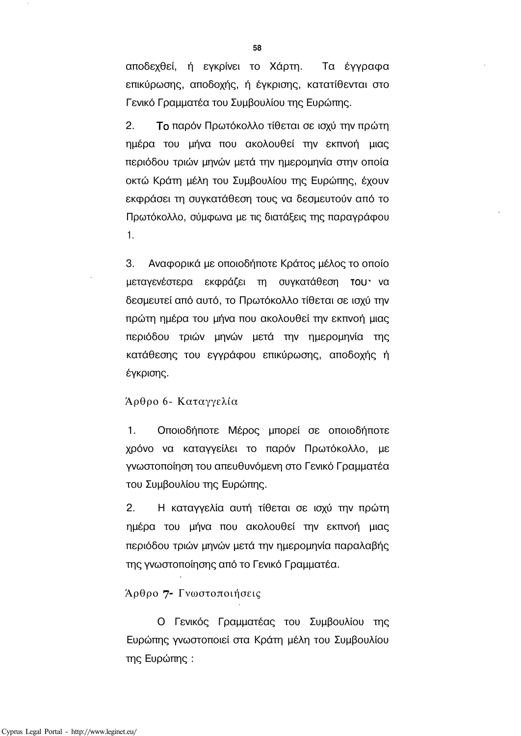αποδεχθεί, ή εγκρίνει το Χάρτη. Τα έγγραφα επικύρωσης, αποδοχής, ή έγκρισης, κατατίθενται στο Γενικό Γραμματέα του Συμβουλίου της Ευρώπης.

2. Το παρόν Πρωτόκολλο τίθεται σε ισχύ την πρώτη ημέρα του μήνα που ακολουθεί την εκπνοή μιας περιόδου τριών μηνών μετά την ημερομηνία στην οποία οκτώ Κράτη μέλη του Συμβουλίου της Ευρώπης, έχουν εκφράσει τη συγκατάθεση τους να δεσμευτούν από το Πρωτόκολλο, σύμφωνα με τις διατάξεις της παραγράφου 1.

3. Αναφορικά με οποιοδήποτε Κράτος μέλος το οποίο μεταγενέστερα εκφράζει τη συγκατάθεση του^ να δεσμευτεί από αυτό, το Πρωτόκολλο τίθεται σε ισχύ την πρώτη ημέρα του μήνα που ακολουθεί την εκπνοή μιας περιόδου τριών μηνών μετά την ημερομηνία της κατάθεσης του εγγράφου επικύρωσης, αποδοχής ή έγκρισης.

## Άρθρο 6- Καταγγελία

1. Οποιοδήποτε Μέρος μπορεί σε οποιοδήποτε χρόνο να καταγγείλει το παρόν Πρωτόκολλο, με γνωστοποίηση του απευθυνόμενη στο Γενικό Γραμματέα του Συμβουλίου της Ευρώπης.

2. Η καταγγελία αυτή τίθεται σε ισχύ την πρώτη ημέρα του μήνα που ακολουθεί την εκπνοή μιας περιόδου τριών μηνών μετά την ημερομηνία παραλαβής της γνωστοποίησης από το Γενικό Γραμματέα.

## Άρθρο 7- Γνωστοποιήσεις

Ο Γενικός Γραμματέας του Συμβουλίου της Ευρώπης γνωστοποιεί στα Κράτη μέλη του Συμβουλίου της Ευρώπης :